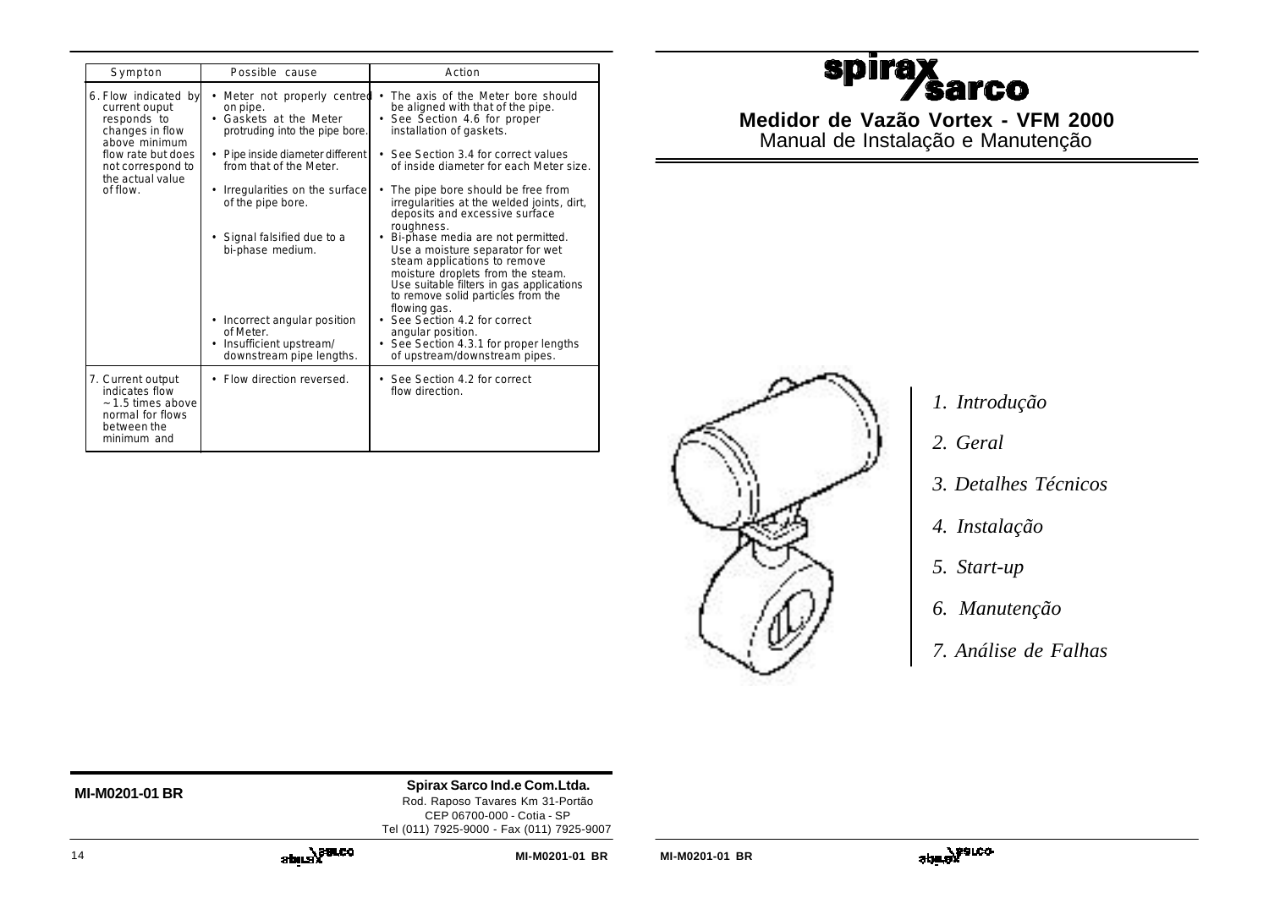| Sympton                                                                                                    | Possible cause                                                                                                  | Action                                                                                                                                                                                                                                     |
|------------------------------------------------------------------------------------------------------------|-----------------------------------------------------------------------------------------------------------------|--------------------------------------------------------------------------------------------------------------------------------------------------------------------------------------------------------------------------------------------|
| 6. Flow indicated by<br>current ouput<br>responds to<br>changes in flow<br>above minimum                   | Meter not properly centred •<br>$\bullet$<br>on pipe.<br>Gaskets at the Meter<br>protruding into the pipe bore. | The axis of the Meter bore should<br>be aligned with that of the pipe.<br>See Section 4.6 for proper<br>installation of gaskets.                                                                                                           |
| flow rate but does<br>not correspond to<br>the actual value                                                | Pipe inside diameter different<br>from that of the Meter.                                                       | • See Section 3.4 for correct values<br>of inside diameter for each Meter size.                                                                                                                                                            |
| of flow                                                                                                    | Irregularities on the surface<br>of the pipe bore.                                                              | The pipe bore should be free from<br>irregularities at the welded joints, dirt,<br>deposits and excessive surface                                                                                                                          |
|                                                                                                            | Signal falsified due to a<br>bi-phase medium.                                                                   | roughness.<br>Bi-phase media are not permitted.<br>Use a moisture separator for wet<br>steam applications to remove<br>moisture droplets from the steam.<br>Use suitable filters in gas applications<br>to remove solid particles from the |
|                                                                                                            | Incorrect angular position<br>of Meter.<br>Insufficient upstream/<br>downstream pipe lengths.                   | flowing gas.<br>See Section 4.2 for correct<br>angular position.<br>See Section 4.3.1 for proper lengths<br>of upstream/downstream pipes.                                                                                                  |
| 7. Current output<br>indicates flow<br>~ 1.5 times above<br>normal for flows<br>between the<br>minimum and | • Flow direction reversed.                                                                                      | • See Section 4.2 for correct<br>flow direction.                                                                                                                                                                                           |

# **spira Sarco**

**Medidor de Vazão Vortex - VFM 2000** Manual de Instalação e Manutenção



- *1. Introdução*
- *2. Geral*
- *3. Detalhes Técnicos*
- *4. Instalação*
- *5. Start-up*
- *6. Manutenção*
- *7. Análise de Falhas*

**MI-M0201-01 BR Spirax Sarco Ind.e Com.Ltda.** Rod. Raposo Tavares Km 31-Portão

CEP 06700-000 - Cotia - SP Tel (011) 7925-9000 - Fax (011) 7925-9007

$$
\mathbf{a}^{\text{total}}\mathbf{a}^{\text{total}}
$$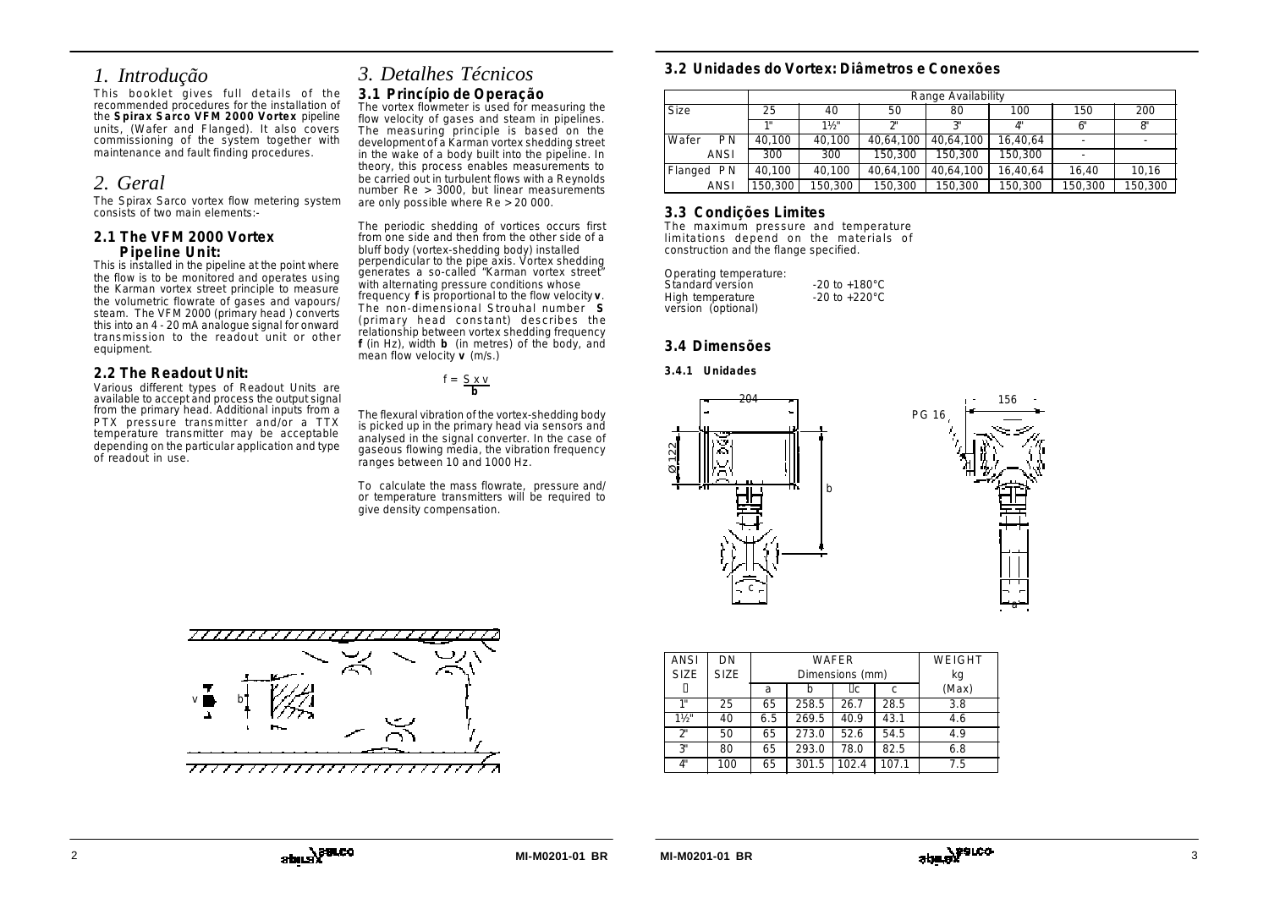# *1. Introdução*

This booklet gives full details of the recommended procedures for the installation of the **Spirax Sarco VFM 2000 Vortex** pipeline units, (Wafer and Flanged). It also covers commissioning of the system together with maintenance and fault finding procedures.

# *2. Geral*

The Spirax Sarco vortex flow metering system consists of two main elements:-

### **2.1 The VFM 2000 Vortex Pipeline Unit:**

This is installed in the pipeline at the point where the flow is to be monitored and operates using the Karman vortex street principle to measure the volumetric flowrate of gases and vapours/ steam. The VFM 2000 (primary head ) converts this into an 4 - 20 mA analogue signal for onward transmission to the readout unit or other equipment.

# **2.2 The Readout Unit:**

Various different types of Readout Units are available to accept and process the output signal from the primary head. Additional inputs from a PTX pressure transmitter and/or a TTX temperature transmitter may be acceptable depending on the particular application and type of readout in use.

# *3. Detalhes Técnicos* **3.1 Princípio de Operação**

The vortex flowmeter is used for measuring the flow velocity of gases and steam in pipelines. The measuring principle is based on the development of a Karman vortex shedding street in the wake of a body built into the pipeline. In theory, this process enables measurements to be carried out in turbulent flows with a Reynolds number Re > 3000, but linear measurements are only possible where Re > 20 000.

The periodic shedding of vortices occurs first from one side and then from the other side of a bluff body (vortex-shedding body) installed perpendicular to the pipe axis. Vortex shedding generates a so-called "Karman vortex street" with alternating pressure conditions whose frequency **f** is proportional to the flow velocity **v**. The non-dimensional Strouhal number **S** (primary head constant) describes the relationship between vortex shedding frequency **f** (in Hz), width **b** (in metres) of the body, and mean flow velocity **v** (m/s.)

 $f = \frac{S \times V}{b}$ 

The flexural vibration of the vortex-shedding body is picked up in the primary head via sensors and analysed in the signal converter. In the case of gaseous flowing media, the vibration frequency ranges between 10 and 1000 Hz.

To calculate the mass flowrate, pressure and/ or temperature transmitters will be required to give density compensation.



|                    |         | Range Availability |           |           |                           |         |         |
|--------------------|---------|--------------------|-----------|-----------|---------------------------|---------|---------|
| <b>Size</b>        | 25      | 40                 | 50        | 80        | 100                       | 150     | 200     |
|                    | 48      | $1\frac{1}{2}$     | $\gamma$  | ייכי      | $\mathbf{A}^{\mathbf{u}}$ | 6"      | 8'      |
| Wafer<br><b>PN</b> | 40.100  | 40.100             | 40.64.100 | 40.64.100 | 16,40,64                  |         |         |
| ANSI               | 300     | 300                | 150,300   | 150.300   | 150,300                   |         |         |
| Flanged PN         | 40.100  | 40,100             | 40,64,100 | 40,64,100 | 16,40,64                  | 16.40   | 10,16   |
| ANSI               | 150,300 | 150,300            | 150,300   | 150.300   | 150,300                   | 150,300 | 150,300 |

# **3.3 Condições Limites**

The maximum pressure and temperature limitations depend on the materials of construction and the flange specified.

| Operating temperature: |                           |
|------------------------|---------------------------|
| Standard version       | $-20$ to $+180^{\circ}$ C |
| High temperature       | $-20$ to $+220^{\circ}$ C |
| version (optional)     |                           |

# **3.4 Dimensões**

#### **3.4.1 Unidades**



| <b>ANSI</b>    | DN          |     | WAFER           |       |       | WEIGHT |
|----------------|-------------|-----|-----------------|-------|-------|--------|
| <b>SIZE</b>    | <b>SIZE</b> |     | Dimensions (mm) |       |       | kg     |
|                |             | a   |                 | ?c    | C     | (Max)  |
| 1"             | 25          | 65  | 258.5           | 26.7  | 28.5  | 3.8    |
| $1\frac{1}{2}$ | 40          | 6.5 | 269.5           | 40.9  | 43.1  | 4.6    |
| <b>プ</b>       | 50          | 65  | 273.0           | 52.6  | 54.5  | 4.9    |
| 3"             | 80          | 65  | 293.0           | 78.0  | 82.5  | 6.8    |
| Л"             | 100         | 65  | 301.5           | 102.4 | 107.1 | 7.5    |
|                |             |     |                 |       |       |        |

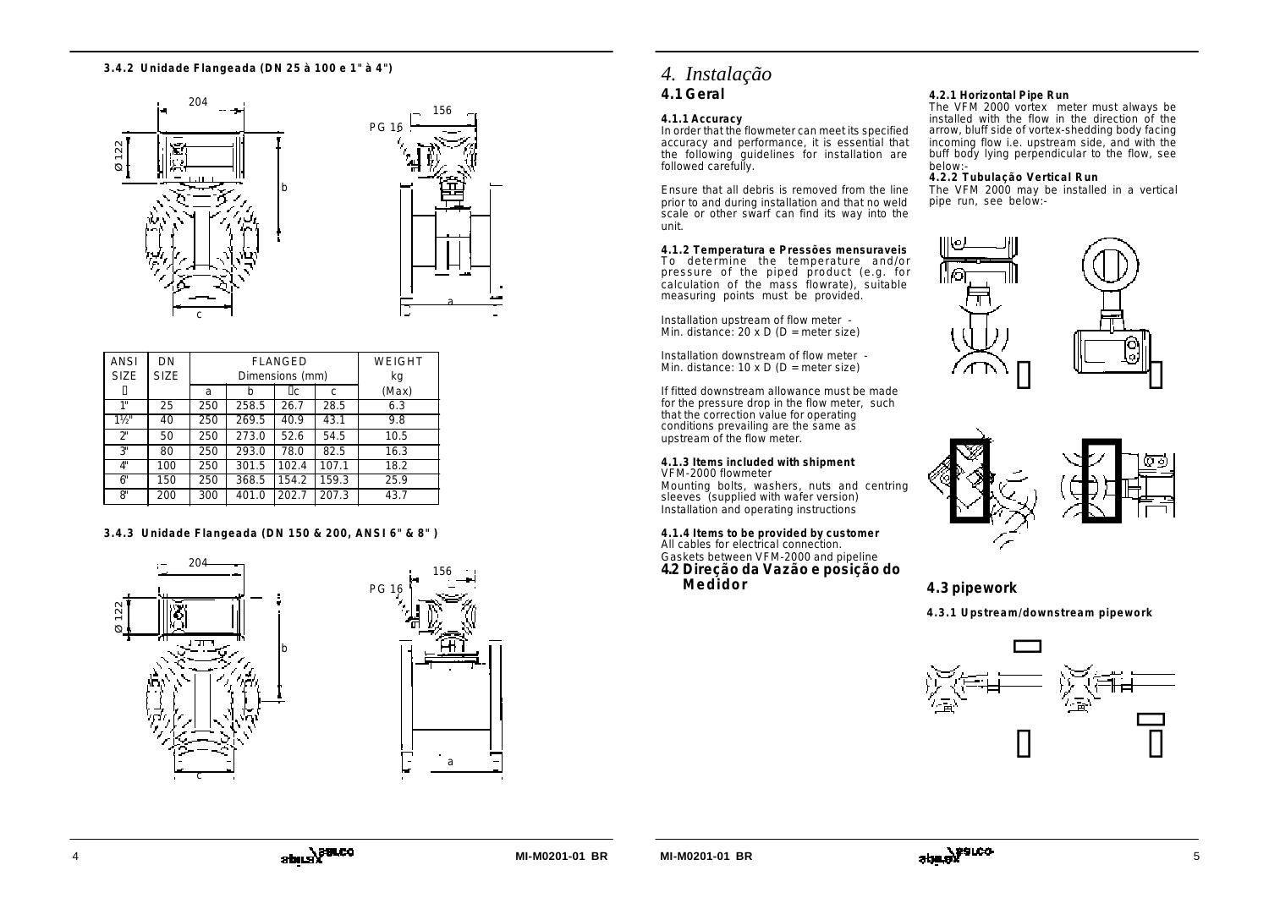#### **3.4.2 Unidade Flangeada (DN 25 à 100 e 1" à 4")**





| <b>ANSI</b><br><b>SIZE</b> | DN<br><b>SIZE</b> |     | <b>FLANGED</b><br>Dimensions (mm) |       |       | WEIGHT<br>kg |
|----------------------------|-------------------|-----|-----------------------------------|-------|-------|--------------|
|                            |                   | a   | b                                 | 2c    | C     | (Max)        |
| 1"                         | 25                | 250 | 258.5                             | 26.7  | 28.5  | 6.3          |
| $1\frac{1}{2}$             | 40                | 250 | 269.5                             | 40.9  | 43.1  | 9.8          |
| $2^{\circ}$                | 50                | 250 | 273.0                             | 52.6  | 54.5  | 10.5         |
| 3"                         | 80                | 250 | 293.0                             | 78.0  | 82.5  | 16.3         |
| 4"                         | 100               | 250 | 301.5                             | 102.4 | 107.1 | 18.2         |
| 6"                         | 150               | 250 | 368.5                             | 154.2 | 159.3 | 25.9         |
| 8'                         | 200               | 300 | 401.0                             | 202.7 | 207.3 | 43.7         |

### **3.4.3 Unidade Flangeada (DN 150 & 200, ANSI 6" & 8" )**





### **4.1.1 Accuracy**

In order that the flowmeter can meet its specified accuracy and performance, it is essential that the following guidelines for installation are followed carefully.

Ensure that all debris is removed from the line prior to and during installation and that no weld scale or other swarf can find its way into the unit.

**4.1.2 Temperatura e Pressões mensuraveis**

To determine the temperature and/or pressure of the piped product (e.g. for calculation of the mass flowrate), suitable measuring points must be provided.

Installation upstream of flow meter - Min. distance:  $20 \times D$  (D = meter size)

Installation downstream of flow meter - Min. distance:  $10 \times D$  (D = meter size)

If fitted downstream allowance must be made for the pressure drop in the flow meter, such that the correction value for operating conditions prevailing are the same as upstream of the flow meter.

### **4.1.3 Items included with shipment**

VFM-2000 flowmeter Mounting bolts, washers, nuts and centring sleeves (supplied with wafer version) Installation and operating instructions

#### **4.1.4 Items to be provided by customer** All cables for electrical connection. Gaskets between VFM-2000 and pipeline **4.2 Direção da Vazão e posição do Medidor**

# **4.2.1 Horizontal Pipe Run**

The VFM 2000 vortex meter must always be installed with the flow in the direction of the arrow, bluff side of vortex-shedding body facing incoming flow i.e. upstream side, and with the buff body lying perpendicular to the flow, see below:-

#### **4.2.2 Tubulação Vertical Run**

The VFM 2000 may be installed in a vertical pipe run, see below:-





# **4.3 pipework**

**4.3.1 Upstream/downstream pipework**

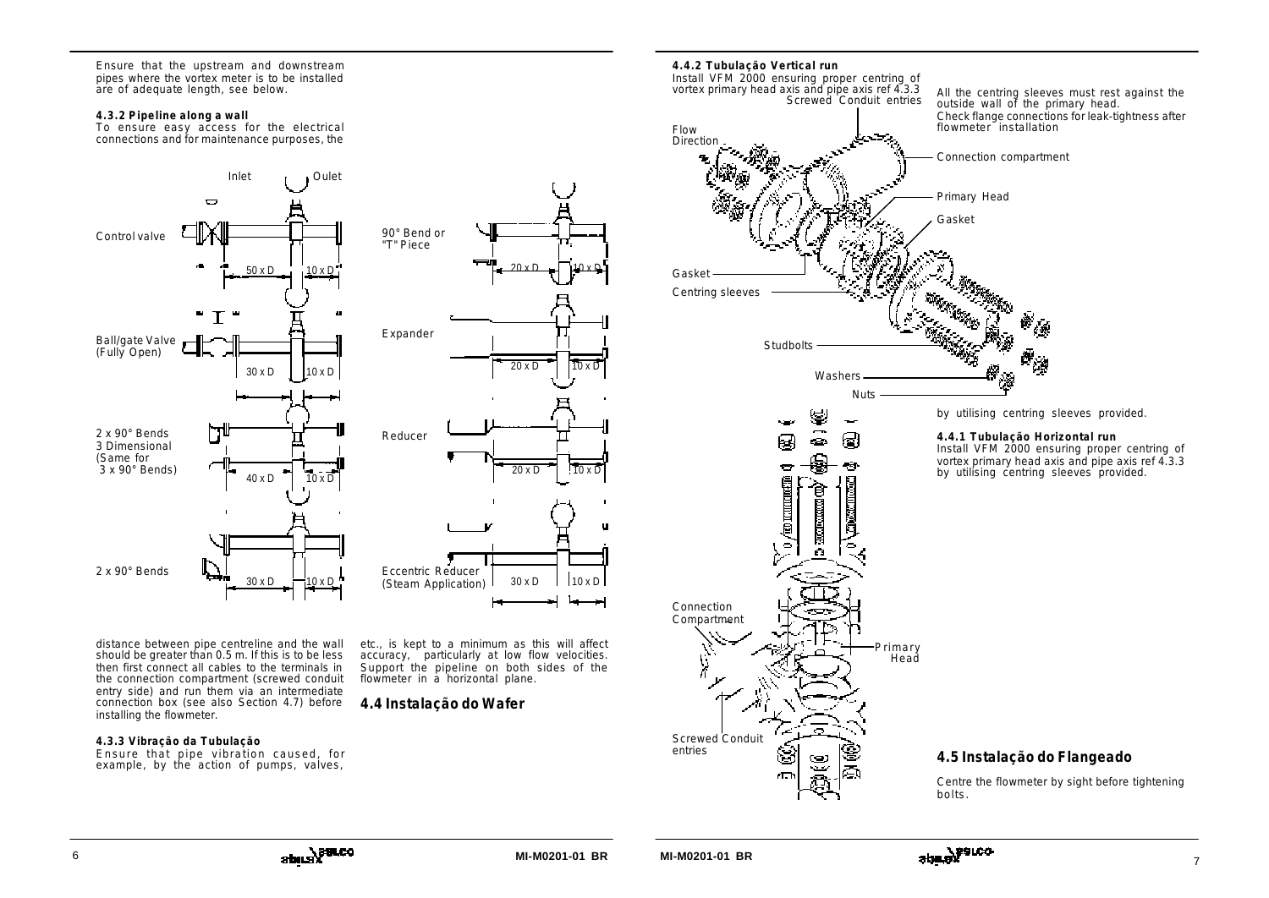Ensure that the upstream and downstream pipes where the vortex meter is to be installed are of adequate length, see below.

#### **4.3.2 Pipeline along a wall**

To ensure easy access for the electrical connections and for maintenance purposes, the



distance between pipe centreline and the wall should be greater than 0.5 m. If this is to be less then first connect all cables to the terminals in the connection compartment (screwed conduit entry side) and run them via an intermediate connection box (see also Section 4.7) before installing the flowmeter.

#### **4.3.3 Vibração da Tubulação**

Ensure that pipe vibration caused, for example, by the action of pumps, valves,



etc., is kept to a minimum as this will affect accuracy, particularly at low flow velocities. Support the pipeline on both sides of the flowmeter in a horizontal plane.

# **4.4 Instalação do Wafer**



Centre the flowmeter by sight before tightening bolts.



**MI-M0201-01 BR MI-M0201-01 BR**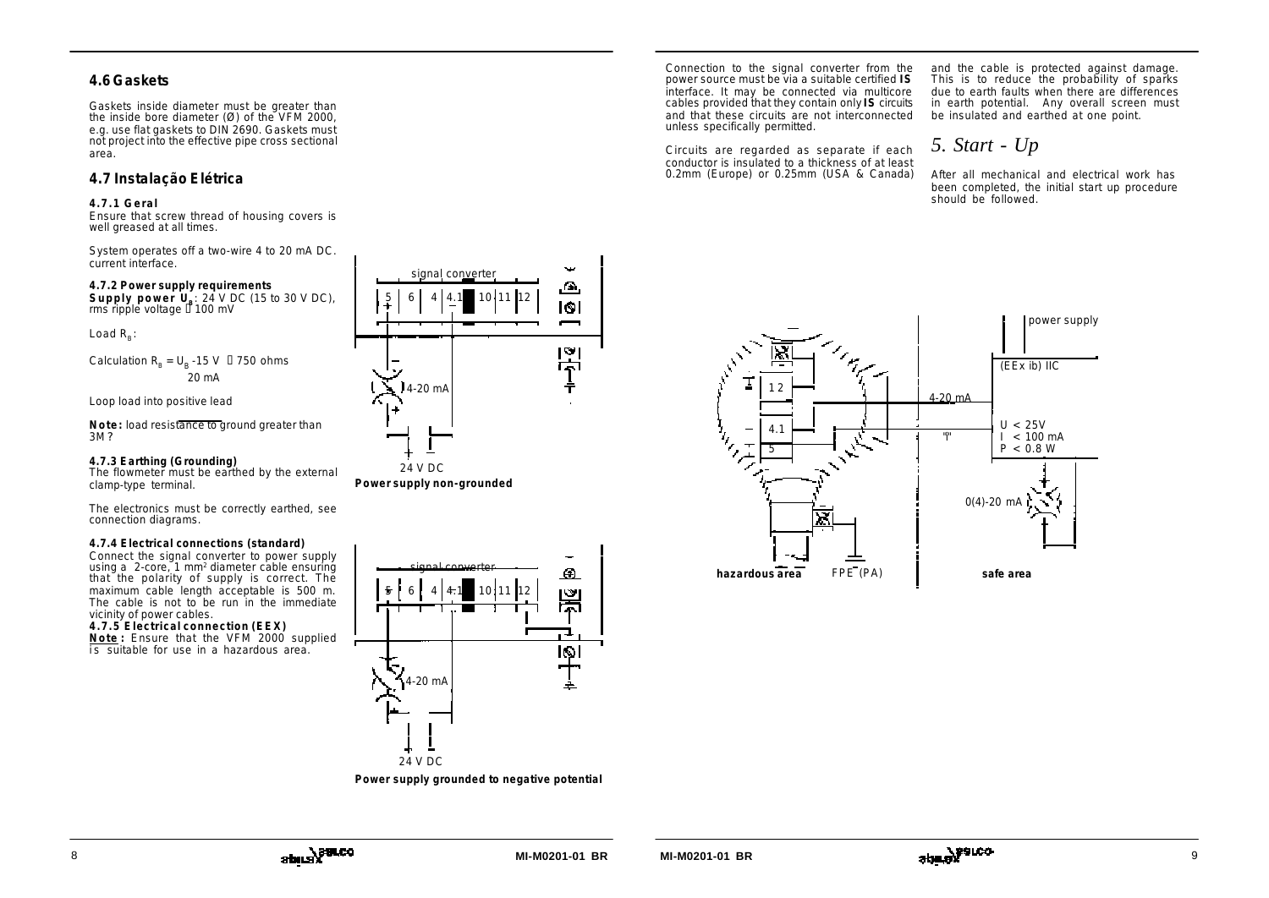# **4.6 Gaskets**

Gaskets inside diameter must be greater than the inside bore diameter  $(\emptyset)$  of the VFM 2000, e.g. use flat gaskets to DIN 2690. Gaskets must not project into the effective pipe cross sectional area.

# **4.7 Instalação Elétrica**

#### **4.7.1 Geral**

Ensure that screw thread of housing covers is well greased at all times.

System operates off a two-wire 4 to 20 mA DC. current interface.

### **4.7.2 Power supply requirements**

**Supply power U<sup>B</sup>** : 24 V DC (15 to 30 V DC), rms ripple voltage ? 100 mV

Load  $R_{\rm B}$ :

Calculation 
$$
R_B = U_B - 15 \text{ V}
$$
 ? 750 ohms  
20 mA

Loop load into positive lead

**Note:** load resistance to ground greater than 3<sub>M</sub>?

### **4.7.3 Earthing (Grounding)**

The flowmeter must be earthed by the external clamp-type terminal.

The electronics must be correctly earthed, see connection diagrams.

#### **4.7.4 Electrical connections (standard)**

Connect the signal converter to power supply using a 2-core, 1 mm<sup>2</sup> diameter cable ensuring that the polarity of supply is correct. The maximum cable length acceptable is 500 m. The cable is not to be run in the immediate vicinity of power cables.

### **4.7.5 Electrical connection (EEX)**

**Note :** Ensure that the VFM 2000 supplied is suitable for use in a hazardous area.



**Power supply non-grounded**



**Power supply grounded to negative potential**

Connection to the signal converter from the power source must be via a suitable certified **IS** interface. It may be connected via multicore cables provided that they contain only **IS** circuits and that these circuits are not interconnected unless specifically permitted.

Circuits are regarded as separate if each conductor is insulated to a thickness of at least 0.2mm (Europe) or 0.25mm (USA & Canada) and the cable is protected against damage. This is to reduce the probability of sparks due to earth faults when there are differences in earth potential. Any overall screen must be insulated and earthed at one point.

# *5. Start - Up*

After all mechanical and electrical work has been completed, the initial start up procedure should be followed.

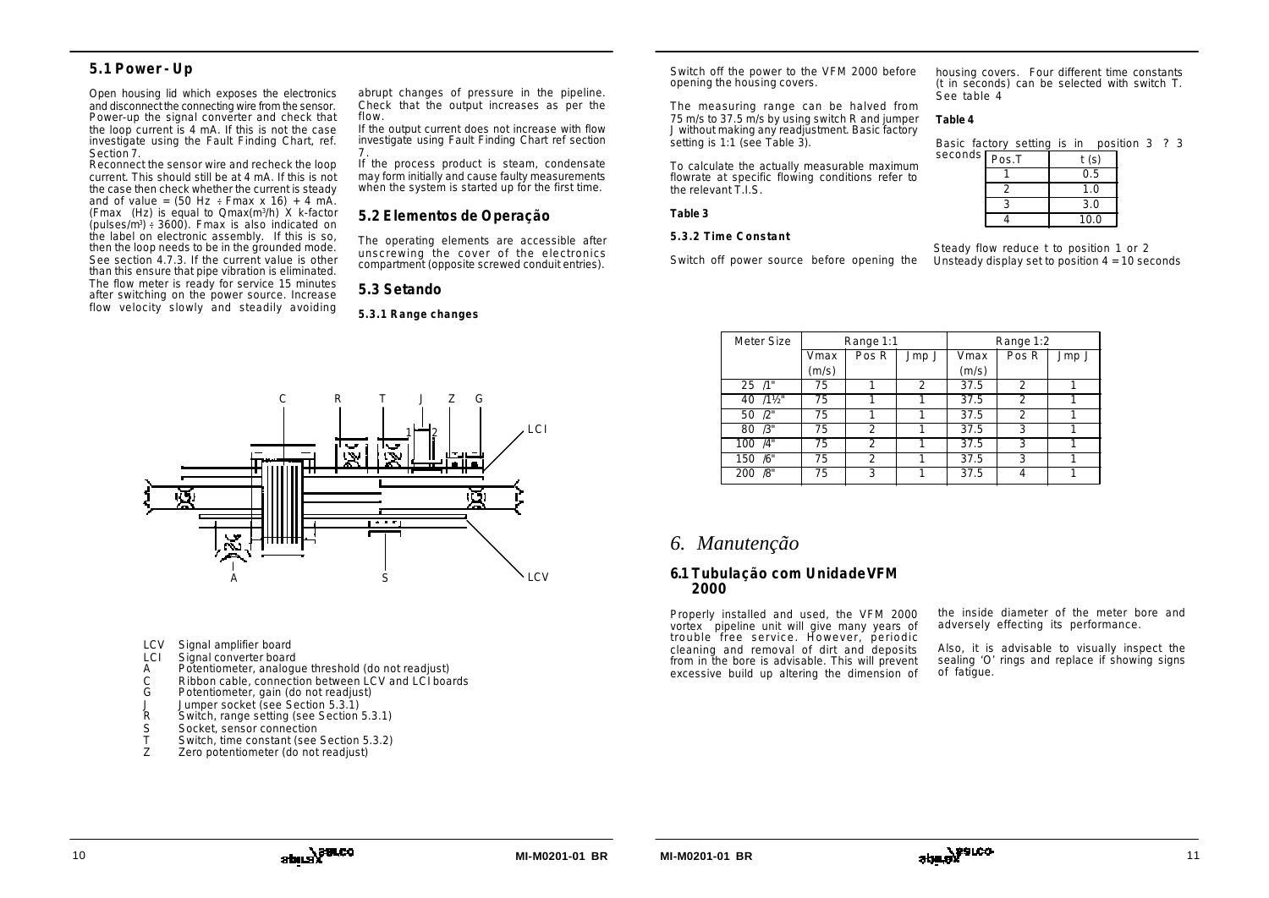# **5.1 Power - Up**

Open housing lid which exposes the electronics and disconnect the connecting wire from the sensor. Power-up the signal converter and check that the loop current is 4 mA. If this is not the case investigate using the Fault Finding Chart, ref. Section 7.

Reconnect the sensor wire and recheck the loop current. This should still be at 4 mA. If this is not the case then check whether the current is steady and of value =  $(50 \text{ Hz} \div \text{Fmax} \times 16) + 4 \text{ mA}$ . (Fmax (Hz) is equal to Qmax(m<sup>3</sup> /h) X k-factor  $(pulses/m<sup>3</sup>)$  = 3600). Fmax is also indicated on the label on electronic assembly. If this is so, then the loop needs to be in the grounded mode. See section 4.7.3. If the current value is other than this ensure that pipe vibration is eliminated. The flow meter is ready for service 15 minutes after switching on the power source. Increase flow velocity slowly and steadily avoiding

abrupt changes of pressure in the pipeline. Check that the output increases as per the flow.

If the output current does not increase with flow investigate using Fault Finding Chart ref section 7 .

If the process product is steam, condensate may form initially and cause faulty measurements when the system is started up for the first time.

# **5.2 Elementos de Operação**

The operating elements are accessible after unscrewing the cover of the electronics compartment (opposite screwed conduit entries).

# **5.3 Setando**

**5.3.1 Range changes**



- LCV Signal amplifier board
- LCI Signal converter board
- A Potentiometer, analogue threshold (do not readjust)
- C Ribbon cable, connection between LCV and LCI boards
- Potentiometer, gain (do not readjust)
- J Jumper socket (see Section 5.3.1)<br>R Switch, range setting (see Section
- Switch, range setting (see Section 5.3.1)
- S Socket, sensor connection<br>T Switch time constant (see
- Switch, time constant (see Section 5.3.2)
- Z Zero potentiometer (do not readjust)

Switch off the power to the VFM 2000 before opening the housing covers.

The measuring range can be halved from 75 m/s to 37.5 m/s by using switch R and jumper J without making any readjustment. Basic factory setting is 1:1 (see Table 3).

To calculate the actually measurable maximum flowrate at specific flowing conditions refer to the relevant T.I.S.

### **Table 3**

### **5.3.2 Time Constant**

Switch off power source before opening the

housing covers. Four different time constants (t in seconds) can be selected with switch T. See table 4

### **Table 4**

Basic factory setting is in position 3 ? 3

| seconds $\lceil_{\text{Pos.T}}\rceil$ | t (s) |
|---------------------------------------|-------|
|                                       | 0.5   |
|                                       |       |
|                                       | 3.0   |
|                                       | 10.0  |

Steady flow reduce t to position 1 or 2 Unsteady display set to position  $4 = 10$  seconds

| Meter Size | Range 1:1 |                |                |       | Range 1:2        |       |
|------------|-----------|----------------|----------------|-------|------------------|-------|
|            | Vmax      | Pos R          | Jmp J          | Vmax  | Pos <sub>R</sub> | Jmp J |
|            | (m/s)     |                |                | (m/s) |                  |       |
| $25 / 1$ " | 75        |                | $\mathfrak{D}$ | 37.5  | $\mathcal{P}$    |       |
| 40 /11/2"  | 75        |                |                | 37.5  | $\mathfrak{D}$   |       |
| 50 /2"     | 75        |                |                | 37.5  | っ                |       |
| 80 / 3"    | 75        | $\mathfrak{D}$ |                | 37.5  | 3                |       |
| 100 /4"    | 75        | $\mathfrak{D}$ |                | 37.5  | 3                |       |
| 150 /6"    | 75        | っ              |                | 37.5  | २                |       |
| /8"<br>200 | 75        | 3              |                | 37.5  |                  |       |

# *6. Manutenção*

# **6.1 Tubulação com Unidade VFM 2000**

Properly installed and used, the VFM 2000 vortex pipeline unit will give many years of trouble free service. However, periodic cleaning and removal of dirt and deposits from in the bore is advisable. This will prevent excessive build up altering the dimension of

the inside diameter of the meter bore and adversely effecting its performance.

Also, it is advisable to visually inspect the sealing 'O' rings and replace if showing signs of fatigue.